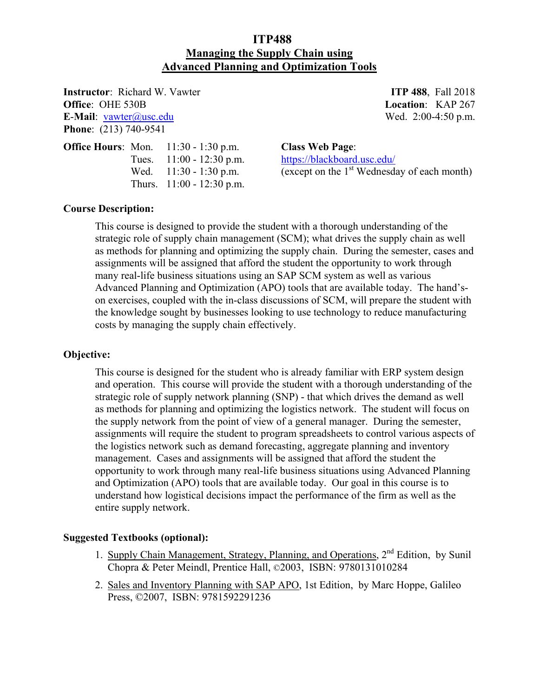# **ITP488 Managing the Supply Chain using Advanced Planning and Optimization Tools**

**Instructor**: Richard W. Vawter **ITP 488**, Fall 2018 **Office**: OHE 530B **Location**: KAP 267 **E-Mail**: vawter@usc.edu Wed. 2:00-4:50 p.m. **Phone**: (213) 740-9541

| <b>Office Hours: Mon.</b> | $11:30 - 1:30$ p.m.         |
|---------------------------|-----------------------------|
|                           | Tues. $11:00 - 12:30$ p.m.  |
|                           | Wed. $11:30 - 1:30$ p.m.    |
|                           | Thurs. $11:00 - 12:30$ p.m. |

**Class Web Page:** https://blackboard.usc.edu/ (except on the  $1<sup>st</sup>$  Wednesday of each month)

## **Course Description:**

This course is designed to provide the student with a thorough understanding of the strategic role of supply chain management (SCM); what drives the supply chain as well as methods for planning and optimizing the supply chain. During the semester, cases and assignments will be assigned that afford the student the opportunity to work through many real-life business situations using an SAP SCM system as well as various Advanced Planning and Optimization (APO) tools that are available today. The hand'son exercises, coupled with the in-class discussions of SCM, will prepare the student with the knowledge sought by businesses looking to use technology to reduce manufacturing costs by managing the supply chain effectively.

### **Objective:**

This course is designed for the student who is already familiar with ERP system design and operation. This course will provide the student with a thorough understanding of the strategic role of supply network planning (SNP) - that which drives the demand as well as methods for planning and optimizing the logistics network. The student will focus on the supply network from the point of view of a general manager. During the semester, assignments will require the student to program spreadsheets to control various aspects of the logistics network such as demand forecasting, aggregate planning and inventory management. Cases and assignments will be assigned that afford the student the opportunity to work through many real-life business situations using Advanced Planning and Optimization (APO) tools that are available today. Our goal in this course is to understand how logistical decisions impact the performance of the firm as well as the entire supply network.

### **Suggested Textbooks (optional):**

- 1. Supply Chain Management, Strategy, Planning, and Operations,  $2<sup>nd</sup>$  Edition, by Sunil Chopra & Peter Meindl, Prentice Hall, ©2003, ISBN: 9780131010284
- 2. Sales and Inventory Planning with SAP APO, 1st Edition, by Marc Hoppe, Galileo Press, ©2007, ISBN: 9781592291236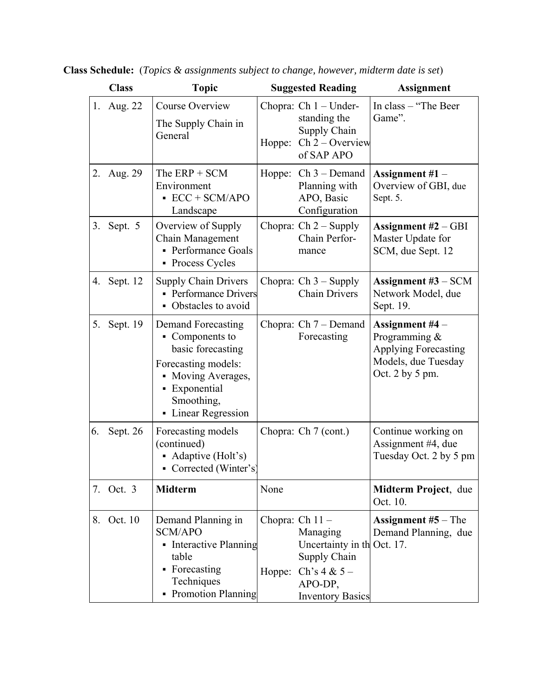|    | <b>Class</b> | <b>Topic</b>                                                                                                                                                                      |        | <b>Suggested Reading</b>                                                                                                             | <b>Assignment</b>                                                                                             |
|----|--------------|-----------------------------------------------------------------------------------------------------------------------------------------------------------------------------------|--------|--------------------------------------------------------------------------------------------------------------------------------------|---------------------------------------------------------------------------------------------------------------|
|    | 1. Aug. 22   | Course Overview<br>The Supply Chain in<br>General                                                                                                                                 | Hoppe: | Chopra: $Ch 1 - Under-$<br>standing the<br>Supply Chain<br>$Ch 2 - Overview$<br>of SAP APO                                           | In class - "The Beer<br>Game".                                                                                |
|    | 2. Aug. 29   | The $ERP + SCM$<br>Environment<br>$\text{ECC} + \text{SCM} / \text{APO}$<br>Landscape                                                                                             |        | Hoppe: $Ch 3 - Demand$<br>Planning with<br>APO, Basic<br>Configuration                                                               | Assignment $#1 -$<br>Overview of GBI, due<br>Sept. 5.                                                         |
| 3. | Sept. 5      | Overview of Supply<br>Chain Management<br>• Performance Goals<br>• Process Cycles                                                                                                 |        | Chopra: $Ch 2 - Supply$<br>Chain Perfor-<br>mance                                                                                    | Assignment $#2 - GBI$<br>Master Update for<br>SCM, due Sept. 12                                               |
|    | 4. Sept. 12  | <b>Supply Chain Drivers</b><br>• Performance Drivers<br>• Obstacles to avoid                                                                                                      |        | Chopra: $Ch 3 - Supply$<br><b>Chain Drivers</b>                                                                                      | Assignment $#3$ – SCM<br>Network Model, due<br>Sept. 19.                                                      |
| 5. | Sept. 19     | <b>Demand Forecasting</b><br>$\blacksquare$ Components to<br>basic forecasting<br>Forecasting models:<br>• Moving Averages,<br>• Exponential<br>Smoothing,<br>• Linear Regression |        | Chopra: $Ch 7 - Demand$<br>Forecasting                                                                                               | Assignment #4 -<br>Programming &<br><b>Applying Forecasting</b><br>Models, due Tuesday<br>Oct. $2$ by $5$ pm. |
| 6. | Sept. 26     | Forecasting models<br>(continued)<br>• Adaptive (Holt's)<br>• Corrected (Winter's)                                                                                                |        | Chopra: Ch 7 (cont.)                                                                                                                 | Continue working on<br>Assignment #4, due<br>Tuesday Oct. 2 by 5 pm                                           |
| 7. | Oct. 3       | <b>Midterm</b>                                                                                                                                                                    | None   |                                                                                                                                      | Midterm Project, due<br>Oct. 10.                                                                              |
| 8. | Oct. 10      | Demand Planning in<br><b>SCM/APO</b><br>• Interactive Planning<br>table<br>• Forecasting<br>Techniques<br>• Promotion Planning                                                    | Hoppe: | Chopra: $Ch 11 -$<br>Managing<br>Uncertainty in the Oct. 17.<br>Supply Chain<br>Ch's $4 & 5 -$<br>APO-DP,<br><b>Inventory Basics</b> | <b>Assignment</b> $#5$ – The<br>Demand Planning, due                                                          |

**Class Schedule:** (*Topics & assignments subject to change, however, midterm date is set*)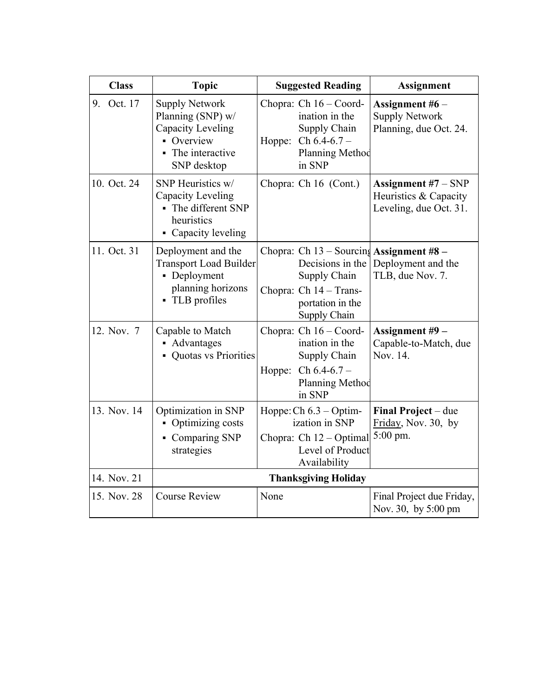| <b>Class</b> | <b>Topic</b>                                                                                                    | <b>Suggested Reading</b>                                                                                                                   | <b>Assignment</b>                                                        |
|--------------|-----------------------------------------------------------------------------------------------------------------|--------------------------------------------------------------------------------------------------------------------------------------------|--------------------------------------------------------------------------|
| 9. Oct. 17   | <b>Supply Network</b><br>Planning (SNP) w/<br>Capacity Leveling<br>• Overview<br>The interactive<br>SNP desktop | Chopra: Ch 16 – Coord-<br>ination in the<br>Supply Chain<br>Hoppe:<br>$Ch 6.4-6.7-$<br>Planning Method<br>in SNP                           | Assignment $#6-$<br><b>Supply Network</b><br>Planning, due Oct. 24.      |
| 10. Oct. 24  | SNP Heuristics w/<br>Capacity Leveling<br>• The different SNP<br>heuristics<br>• Capacity leveling              | Chopra: Ch 16 (Cont.)                                                                                                                      | Assignment $#7 - SNP$<br>Heuristics & Capacity<br>Leveling, due Oct. 31. |
| 11. Oct. 31  | Deployment and the<br><b>Transport Load Builder</b><br>• Deployment<br>planning horizons<br>• TLB profiles      | Chopra: Ch 13 - Sourcing Assignment #8 -<br>Decisions in the<br>Supply Chain<br>Chopra: Ch 14 - Trans-<br>portation in the<br>Supply Chain | Deployment and the<br>TLB, due Nov. 7.                                   |
| 12. Nov. 7   | Capable to Match<br>• Advantages<br><b>Quotas vs Priorities</b>                                                 | Chopra: Ch 16 - Coord-<br>ination in the<br>Supply Chain<br>Hoppe: Ch $6.4-6.7$ –<br>Planning Method<br>in SNP                             | Assignment #9 -<br>Capable-to-Match, due<br>Nov. 14.                     |
| 13. Nov. 14  | Optimization in SNP<br>• Optimizing costs<br>Comparing SNP<br>strategies                                        | Hoppe: Ch 6.3 - Optim-<br>ization in SNP<br>Chopra: Ch 12 – Optimal<br>Level of Product<br>Availability                                    | Final Project – due<br>Friday, Nov. 30, by<br>5:00 pm.                   |
| 14. Nov. 21  | <b>Thanksgiving Holiday</b>                                                                                     |                                                                                                                                            |                                                                          |
| 15. Nov. 28  | <b>Course Review</b>                                                                                            | None                                                                                                                                       | Final Project due Friday,<br>Nov. 30, by 5:00 pm                         |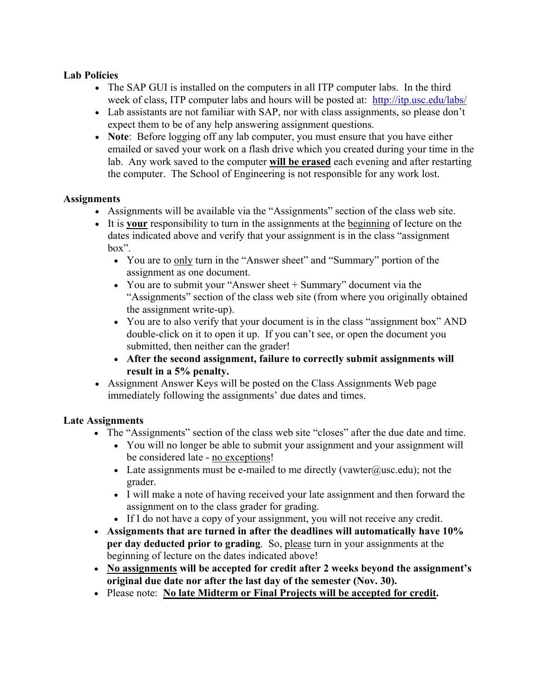## **Lab Policies**

- The SAP GUI is installed on the computers in all ITP computer labs. In the third week of class, ITP computer labs and hours will be posted at: http://itp.usc.edu/labs/
- Lab assistants are not familiar with SAP, nor with class assignments, so please don't expect them to be of any help answering assignment questions.
- **Note**: Before logging off any lab computer, you must ensure that you have either emailed or saved your work on a flash drive which you created during your time in the lab. Any work saved to the computer **will be erased** each evening and after restarting the computer. The School of Engineering is not responsible for any work lost.

## **Assignments**

- Assignments will be available via the "Assignments" section of the class web site.
- x It is **your** responsibility to turn in the assignments at the beginning of lecture on the dates indicated above and verify that your assignment is in the class "assignment box".
	- You are to only turn in the "Answer sheet" and "Summary" portion of the assignment as one document.
	- You are to submit your "Answer sheet  $+$  Summary" document via the "Assignments" section of the class web site (from where you originally obtained the assignment write-up).
	- You are to also verify that your document is in the class "assignment box" AND double-click on it to open it up. If you can't see, or open the document you submitted, then neither can the grader!
	- x **After the second assignment, failure to correctly submit assignments will result in a 5% penalty.**
- Assignment Answer Keys will be posted on the Class Assignments Web page immediately following the assignments' due dates and times.

# **Late Assignments**

- The "Assignments" section of the class web site "closes" after the due date and time.
	- You will no longer be able to submit your assignment and your assignment will be considered late - no exceptions!
	- Example 1 Late assignments must be e-mailed to me directly (vawter@usc.edu); not the grader.
	- I will make a note of having received your late assignment and then forward the assignment on to the class grader for grading.
	- If I do not have a copy of your assignment, you will not receive any credit.
- Assignments that are turned in after the deadlines will automatically have 10% **per day deducted prior to grading.** So, please turn in your assignments at the beginning of lecture on the dates indicated above!
- No assignments will be accepted for credit after 2 weeks beyond the assignment's **original due date nor after the last day of the semester (Nov. 30).**
- x Please note: **No late Midterm or Final Projects will be accepted for credit.**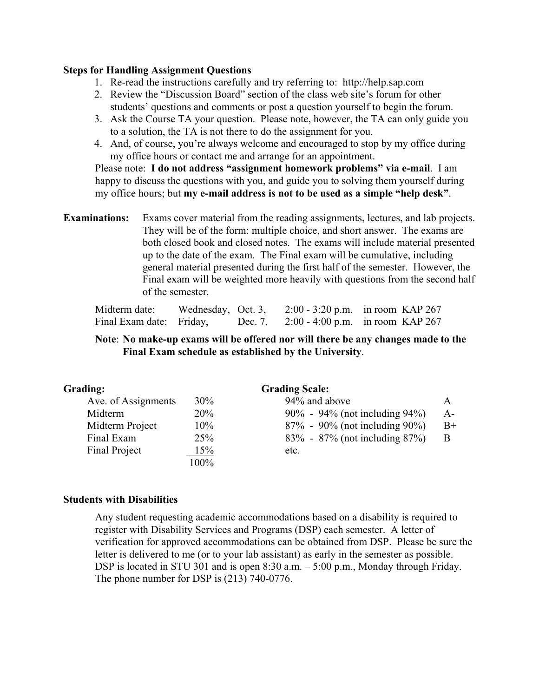#### **Steps for Handling Assignment Questions**

- 1. Re-read the instructions carefully and try referring to: http://help.sap.com
- 2. Review the "Discussion Board" section of the class web site's forum for other students' questions and comments or post a question yourself to begin the forum.
- 3. Ask the Course TA your question. Please note, however, the TA can only guide you to a solution, the TA is not there to do the assignment for you.
- 4. And, of course, you're always welcome and encouraged to stop by my office during my office hours or contact me and arrange for an appointment.

Please note: **I do not address "assignment homework problems" via e-mail**. I am happy to discuss the questions with you, and guide you to solving them yourself during my office hours; but **my e-mail address is not to be used as a simple "help desk"**.

**Examinations:** Exams cover material from the reading assignments, lectures, and lab projects. They will be of the form: multiple choice, and short answer. The exams are both closed book and closed notes. The exams will include material presented up to the date of the exam. The Final exam will be cumulative, including general material presented during the first half of the semester. However, the Final exam will be weighted more heavily with questions from the second half of the semester.

| Midterm date:            |  | Wednesday, Oct. 3, $2:00 - 3:20$ p.m. in room KAP 267 |
|--------------------------|--|-------------------------------------------------------|
| Final Exam date: Friday, |  | Dec. 7, $2:00 - 4:00$ p.m. in room KAP 267            |

### **Note**: **No make-up exams will be offered nor will there be any changes made to the Final Exam schedule as established by the University**.

| Grading:            | <b>Grading Scale:</b> |                               |       |  |
|---------------------|-----------------------|-------------------------------|-------|--|
| Ave. of Assignments | $30\%$                | 94% and above                 | A     |  |
| Midterm             | 20%                   | 90% - 94% (not including 94%) | $A -$ |  |
| Midterm Project     | 10%                   | 87% - 90% (not including 90%) | $B+$  |  |
| Final Exam          | 25%                   | 83% - 87% (not including 87%) | B     |  |
| Final Project       | 15%                   | etc.                          |       |  |
|                     | 100%                  |                               |       |  |

#### **Students with Disabilities**

Any student requesting academic accommodations based on a disability is required to register with Disability Services and Programs (DSP) each semester. A letter of verification for approved accommodations can be obtained from DSP. Please be sure the letter is delivered to me (or to your lab assistant) as early in the semester as possible. DSP is located in STU 301 and is open 8:30 a.m. – 5:00 p.m., Monday through Friday. The phone number for DSP is (213) 740-0776.